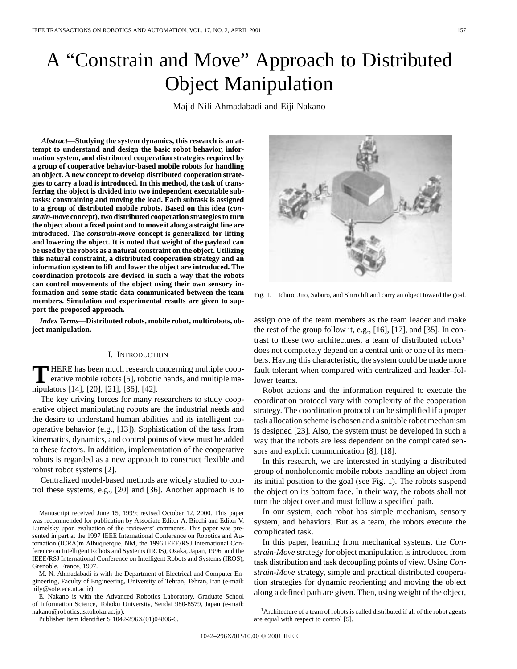# A "Constrain and Move" Approach to Distributed Object Manipulation

Majid Nili Ahmadabadi and Eiji Nakano

*Abstract—***Studying the system dynamics, this research is an attempt to understand and design the basic robot behavior, information system, and distributed cooperation strategies required by a group of cooperative behavior-based mobile robots for handling an object. A new concept to develop distributed cooperation strategies to carry a load is introduced. In this method, the task of transferring the object is divided into two independent executable subtasks: constraining and moving the load. Each subtask is assigned to a group of distributed mobile robots. Based on this idea (***constrain-move* **concept), two distributed cooperation strategies to turn the object about a fixed point and to move it along a straight line are introduced. The** *constrain-move* **concept is generalized for lifting and lowering the object. It is noted that weight of the payload can be used by the robots as a natural constraint on the object. Utilizing this natural constraint, a distributed cooperation strategy and an information system to lift and lower the object are introduced. The coordination protocols are devised in such a way that the robots can control movements of the object using their own sensory information and some static data communicated between the team members. Simulation and experimental results are given to support the proposed approach.**

*Index Terms—***Distributed robots, mobile robot, multirobots, object manipulation.**

#### I. INTRODUCTION

**T** HERE has been much research concerning multiple cooperative mobile robots [5], robotic hands, and multiple manipulators [14], [20], [21], [36], [42].

The key driving forces for many researchers to study cooperative object manipulating robots are the industrial needs and the desire to understand human abilities and its intelligent cooperative behavior (e.g., [13]). Sophistication of the task from kinematics, dynamics, and control points of view must be added to these factors. In addition, implementation of the cooperative robots is regarded as a new approach to construct flexible and robust robot systems [2].

Centralized model-based methods are widely studied to control these systems, e.g., [20] and [36]. Another approach is to

M. N. Ahmadabadi is with the Department of Electrical and Computer Engineering, Faculty of Engineering, University of Tehran, Tehran, Iran (e-mail: nily@sofe.ece.ut.ac.ir).

E. Nakano is with the Advanced Robotics Laboratory, Graduate School of Information Science, Tohoku University, Sendai 980-8579, Japan (e-mail: nakano@robotics.is.tohoku.ac.jp).

Publisher Item Identifier S 1042-296X(01)04806-6.

Fig. 1. Ichiro, Jiro, Saburo, and Shiro lift and carry an object toward the goal.

assign one of the team members as the team leader and make the rest of the group follow it, e.g., [16], [17], and [35]. In contrast to these two architectures, a team of distributed robots1 does not completely depend on a central unit or one of its members. Having this characteristic, the system could be made more fault tolerant when compared with centralized and leader–follower teams.

Robot actions and the information required to execute the coordination protocol vary with complexity of the cooperation strategy. The coordination protocol can be simplified if a proper task allocation scheme is chosen and a suitable robot mechanism is designed [23]. Also, the system must be developed in such a way that the robots are less dependent on the complicated sensors and explicit communication [8], [18].

In this research, we are interested in studying a distributed group of nonholonomic mobile robots handling an object from its initial position to the goal (see Fig. 1). The robots suspend the object on its bottom face. In their way, the robots shall not turn the object over and must follow a specified path.

In our system, each robot has simple mechanism, sensory system, and behaviors. But as a team, the robots execute the complicated task.

In this paper, learning from mechanical systems, the *Constrain-Move* strategy for object manipulation is introduced from task distribution and task decoupling points of view. Using *Constrain-Move* strategy, simple and practical distributed cooperation strategies for dynamic reorienting and moving the object along a defined path are given. Then, using weight of the object,



Manuscript received June 15, 1999; revised October 12, 2000. This paper was recommended for publication by Associate Editor A. Bicchi and Editor V. Lumelsky upon evaluation of the reviewers' comments. This paper was presented in part at the 1997 IEEE International Conference on Robotics and Automation (ICRA)m Albuquerque, NM, the 1996 IEEE/RSJ International Conference on Intelligent Robots and Systems (IROS), Osaka, Japan, 1996, and the IEEE/RSJ International Conference on Intelligent Robots and Systems (IROS), Grenoble, France, 1997.

<sup>&</sup>lt;sup>1</sup>Architecture of a team of robots is called distributed if all of the robot agents are equal with respect to control [5].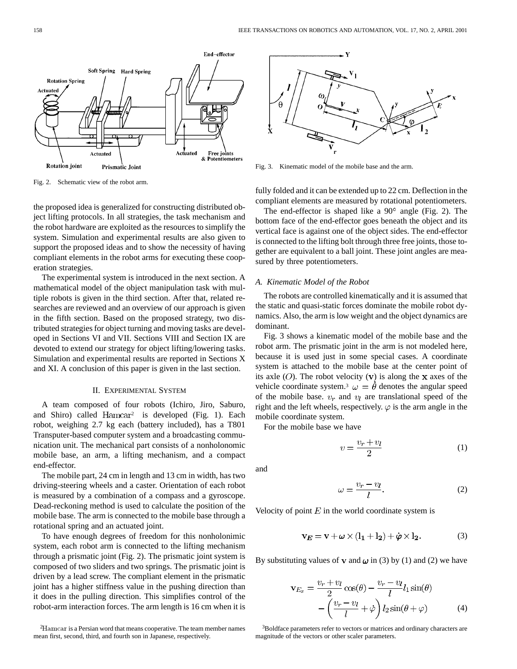

Fig. 2. Schematic view of the robot arm.

the proposed idea is generalized for constructing distributed object lifting protocols. In all strategies, the task mechanism and the robot hardware are exploited as the resources to simplify the system. Simulation and experimental results are also given to support the proposed ideas and to show the necessity of having compliant elements in the robot arms for executing these cooperation strategies.

The experimental system is introduced in the next section. A mathematical model of the object manipulation task with multiple robots is given in the third section. After that, related researches are reviewed and an overview of our approach is given in the fifth section. Based on the proposed strategy, two distributed strategies for object turning and moving tasks are developed in Sections VI and VII. Sections VIII and Section IX are devoted to extend our strategy for object lifting/lowering tasks. Simulation and experimental results are reported in Sections X and XI. A conclusion of this paper is given in the last section.

# II. EXPERIMENTAL SYSTEM

A team composed of four robots (Ichiro, Jiro, Saburo, and Shiro) called  $\text{Hamcar}^2$  is developed (Fig. 1). Each robot, weighing 2.7 kg each (battery included), has a T801 Transputer-based computer system and a broadcasting communication unit. The mechanical part consists of a nonholonomic mobile base, an arm, a lifting mechanism, and a compact end-effector.

The mobile part, 24 cm in length and 13 cm in width, has two driving-steering wheels and a caster. Orientation of each robot is measured by a combination of a compass and a gyroscope. Dead-reckoning method is used to calculate the position of the mobile base. The arm is connected to the mobile base through a rotational spring and an actuated joint.

To have enough degrees of freedom for this nonholonimic system, each robot arm is connected to the lifting mechanism through a prismatic joint (Fig. 2). The prismatic joint system is composed of two sliders and two springs. The prismatic joint is driven by a lead screw. The compliant element in the prismatic joint has a higher stiffness value in the pushing direction than it does in the pulling direction. This simplifies control of the robot-arm interaction forces. The arm length is 16 cm when it is



Fig. 3. Kinematic model of the mobile base and the arm.

fully folded and it can be extended up to 22 cm. Deflection in the compliant elements are measured by rotational potentiometers.

The end-effector is shaped like a  $90^{\circ}$  angle (Fig. 2). The bottom face of the end-effector goes beneath the object and its vertical face is against one of the object sides. The end-effector is connected to the lifting bolt through three free joints, those together are equivalent to a ball joint. These joint angles are measured by three potentiometers.

# *A. Kinematic Model of the Robot*

The robots are controlled kinematically and it is assumed that the static and quasi-static forces dominate the mobile robot dynamics. Also, the arm is low weight and the object dynamics are dominant.

Fig. 3 shows a kinematic model of the mobile base and the robot arm. The prismatic joint in the arm is not modeled here, because it is used just in some special cases. A coordinate system is attached to the mobile base at the center point of its axle  $(O)$ . The robot velocity  $(v)$  is along the x axes of the vehicle coordinate system.<sup>3</sup>  $\omega = \dot{\theta}$  denotes the angular speed of the mobile base.  $v_r$  and  $v_l$  are translational speed of the right and the left wheels, respectively.  $\varphi$  is the arm angle in the mobile coordinate system.

For the mobile base we have

$$
v = \frac{v_r + v_l}{2} \tag{1}
$$

and

$$
\omega = \frac{v_r - v_l}{l}.\tag{2}
$$

Velocity of point  $E$  in the world coordinate system is

$$
\mathbf{v}_E = \mathbf{v} + \boldsymbol{\omega} \times (\mathbf{l}_1 + \mathbf{l}_2) + \dot{\boldsymbol{\varphi}} \times \mathbf{l}_2. \tag{3}
$$

By substituting values of **v** and  $\omega$  in (3) by (1) and (2) we have

$$
\mathbf{v}_{E_x} = \frac{v_r + v_l}{2} \cos(\theta) - \frac{v_r - v_l}{l} l_1 \sin(\theta) - \left(\frac{v_r - v_l}{l} + \dot{\varphi}\right) l_2 \sin(\theta + \varphi)
$$
 (4)

3Boldface parameters refer to vectors or matrices and ordinary characters are magnitude of the vectors or other scaler parameters.

<sup>2</sup>Hamcar is a Persian word that means cooperative. The team member names mean first, second, third, and fourth son in Japanese, respectively.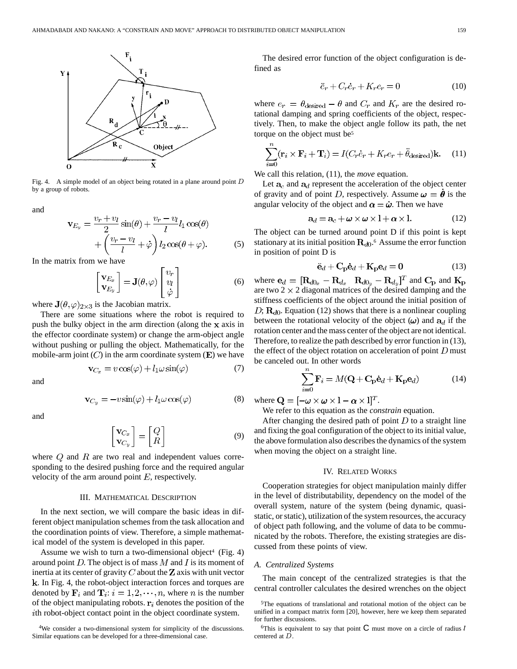

Fig. 4. A simple model of an object being rotated in a plane around point D by a group of robots.

and

$$
v_{E_y} = \frac{v_r + v_l}{2} \sin(\theta) + \frac{v_r - v_l}{l} l_1 \cos(\theta) + \left(\frac{v_r - v_l}{l} + \dot{\varphi}\right) l_2 \cos(\theta + \varphi).
$$
 (5)

In the matrix from we have

$$
\begin{bmatrix} \mathbf{V}_{E_x} \\ \mathbf{V}_{E_y} \end{bmatrix} = \mathbf{J}(\theta, \varphi) \begin{bmatrix} v_r \\ v_l \\ \dot{\varphi} \end{bmatrix}
$$
 (6)

where  $\mathbf{J}(\theta, \varphi)_{2\times 3}$  is the Jacobian matrix.

There are some situations where the robot is required to push the bulky object in the arm direction (along the  $x$  axis in the effector coordinate system) or change the arm-object angle without pushing or pulling the object. Mathematically, for the mobile-arm joint  $(C)$  in the arm coordinate system  $(E)$  we have

$$
\mathbf{v}_{C_x} = v \cos(\varphi) + l_1 \omega \sin(\varphi) \tag{7}
$$

and

$$
\mathbf{v}_{C_y} = -v\sin(\varphi) + l_1\omega\cos(\varphi) \tag{8}
$$

and

$$
\begin{bmatrix} \mathbf{V}_{C_x} \\ \mathbf{V}_{C_y} \end{bmatrix} = \begin{bmatrix} Q \\ R \end{bmatrix} \tag{9}
$$

where  $Q$  and  $R$  are two real and independent values corresponding to the desired pushing force and the required angular velocity of the arm around point  $E$ , respectively.

## III. MATHEMATICAL DESCRIPTION

In the next section, we will compare the basic ideas in different object manipulation schemes from the task allocation and the coordination points of view. Therefore, a simple mathematical model of the system is developed in this paper.

Assume we wish to turn a two-dimensional object<sup>4</sup> (Fig. 4) around point  $D$ . The object is of mass  $M$  and  $I$  is its moment of inertia at its center of gravity  $C$  about the  $\bf{Z}$  axis with unit vector . In Fig. 4, the robot-object interaction forces and torques are denoted by  $\mathbf{F}_i$  and  $\mathbf{T}_i$ :  $i = 1, 2, \dots, n$ , where *n* is the number of the object manipulating robots.  $r_i$  denotes the position of the ith robot-object contact point in the object coordinate system.

The desired error function of the object configuration is defined as

$$
\ddot{e}_r + C_r \dot{e}_r + K_r e_r = 0 \tag{10}
$$

where  $e_r = \theta_{\text{desired}} - \theta$  and  $C_r$  and  $K_r$  are the desired rotational damping and spring coefficients of the object, respectively. Then, to make the object angle follow its path, the net torque on the object must be<sup>5</sup>

$$
\sum_{i=0}^{n} (\mathbf{r}_i \times \mathbf{F}_i + \mathbf{T}_i) = I(C_r \dot{e}_r + K_r e_r + \ddot{\theta}_{\text{desired}}) \mathbf{k}.
$$
 (11)

We call this relation, (11), the *move* equation.

Let  $a_c$  and  $a_d$  represent the acceleration of the object center of gravity and of point D, respectively. Assume  $\omega = \theta$  is the angular velocity of the object and  $\alpha = \dot{\omega}$ . Then we have

$$
\mathbf{a}_d = \mathbf{a}_c + \boldsymbol{\omega} \times \boldsymbol{\omega} \times \mathbf{l} + \boldsymbol{\alpha} \times \mathbf{l}.\tag{12}
$$

The object can be turned around point D if this point is kept stationary at its initial position  $R_{d0}$ .<sup>6</sup> Assume the error function in position of point D is

$$
\ddot{\mathbf{e}}_d + \mathbf{C}_p \dot{\mathbf{e}}_d + \mathbf{K}_p \mathbf{e}_d = \mathbf{0} \tag{13}
$$

where  $\mathbf{e}_d = [\mathbf{R}_{d0_x} - \mathbf{R}_{d_x} \quad \mathbf{R}_{d0_y} - \mathbf{R}_{d_y}]^T$  and  $\mathbf{C}_{\mathbf{p}}$  and  $\mathbf{K}_{\mathbf{p}}$ are two  $2 \times 2$  diagonal matrices of the desired damping and the stiffness coefficients of the object around the initial position of  $D; \mathbf{R}_{d0}$ . Equation (12) shows that there is a nonlinear coupling between the rotational velocity of the object  $(\omega)$  and  $a_d$  if the rotation center and the mass center of the object are not identical. Therefore, to realize the path described by error function in (13), the effect of the object rotation on acceleration of point  $D$  must be canceled out. In other words

$$
\sum_{i=0}^{N} \mathbf{F}_i = M(\mathbf{Q} + \mathbf{C}_{\mathbf{P}} \dot{\mathbf{e}}_d + \mathbf{K}_{\mathbf{P}} \mathbf{e}_d)
$$
(14)

where  $\mathbf{Q} = [-\omega \times \omega \times 1 - \alpha \times 1]^T$ .

We refer to this equation as the *constrain* equation.

After changing the desired path of point  $D$  to a straight line and fixing the goal configuration of the object to its initial value, the above formulation also describes the dynamics of the system when moving the object on a straight line.

# IV. RELATED WORKS

Cooperation strategies for object manipulation mainly differ in the level of distributability, dependency on the model of the overall system, nature of the system (being dynamic, quasistatic, or static), utilization of the system resources, the accuracy of object path following, and the volume of data to be communicated by the robots. Therefore, the existing strategies are discussed from these points of view.

#### *A. Centralized Systems*

The main concept of the centralized strategies is that the central controller calculates the desired wrenches on the object

<sup>4</sup>We consider a two-dimensional system for simplicity of the discussions. Similar equations can be developed for a three-dimensional case.

<sup>5</sup>The equations of translational and rotational motion of the object can be unified in a compact matrix form [20], however, here we keep them separated for further discussions.

<sup>&</sup>lt;sup>6</sup>This is equivalent to say that point  $\bf{C}$  must move on a circle of radius l centered at D.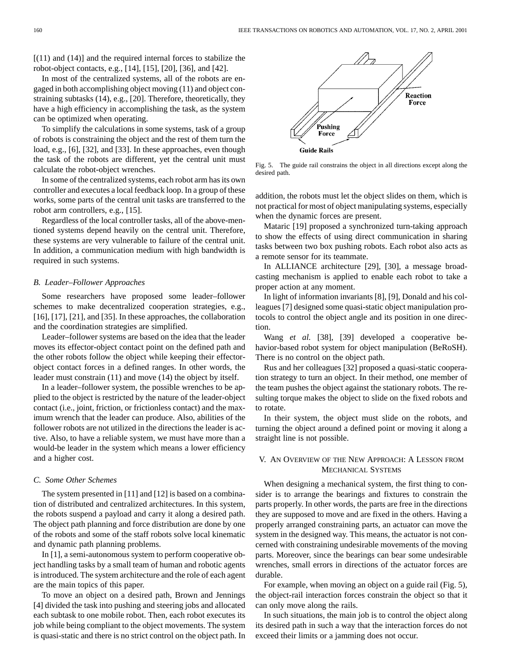$[(11)$  and  $(14)]$  and the required internal forces to stabilize the robot-object contacts, e.g., [14], [15], [20], [36], and [42].

In most of the centralized systems, all of the robots are engaged in both accomplishing object moving (11) and object constraining subtasks (14), e.g., [20]. Therefore, theoretically, they have a high efficiency in accomplishing the task, as the system can be optimized when operating.

To simplify the calculations in some systems, task of a group of robots is constraining the object and the rest of them turn the load, e.g., [6], [32], and [33]. In these approaches, even though the task of the robots are different, yet the central unit must calculate the robot-object wrenches.

In some of the centralized systems, each robot arm has its own controller and executes a local feedback loop. In a group of these works, some parts of the central unit tasks are transferred to the robot arm controllers, e.g., [15].

Regardless of the local controller tasks, all of the above-mentioned systems depend heavily on the central unit. Therefore, these systems are very vulnerable to failure of the central unit. In addition, a communication medium with high bandwidth is required in such systems.

#### *B. Leader–Follower Approaches*

Some researchers have proposed some leader–follower schemes to make decentralized cooperation strategies, e.g., [16], [17], [21], and [35]. In these approaches, the collaboration and the coordination strategies are simplified.

Leader–follower systems are based on the idea that the leader moves its effector-object contact point on the defined path and the other robots follow the object while keeping their effectorobject contact forces in a defined ranges. In other words, the leader must constrain (11) and move (14) the object by itself.

In a leader–follower system, the possible wrenches to be applied to the object is restricted by the nature of the leader-object contact (i.e., joint, friction, or frictionless contact) and the maximum wrench that the leader can produce. Also, abilities of the follower robots are not utilized in the directions the leader is active. Also, to have a reliable system, we must have more than a would-be leader in the system which means a lower efficiency and a higher cost.

# *C. Some Other Schemes*

The system presented in [11] and [12] is based on a combination of distributed and centralized architectures. In this system, the robots suspend a payload and carry it along a desired path. The object path planning and force distribution are done by one of the robots and some of the staff robots solve local kinematic and dynamic path planning problems.

In [1], a semi-autonomous system to perform cooperative object handling tasks by a small team of human and robotic agents is introduced. The system architecture and the role of each agent are the main topics of this paper.

To move an object on a desired path, Brown and Jennings [4] divided the task into pushing and steering jobs and allocated each subtask to one mobile robot. Then, each robot executes its job while being compliant to the object movements. The system is quasi-static and there is no strict control on the object path. In



Fig. 5. The guide rail constrains the object in all directions except along the desired path.

addition, the robots must let the object slides on them, which is not practical for most of object manipulating systems, especially when the dynamic forces are present.

Mataric [19] proposed a synchronized turn-taking approach to show the effects of using direct communication in sharing tasks between two box pushing robots. Each robot also acts as a remote sensor for its teammate.

In ALLIANCE architecture [29], [30], a message broadcasting mechanism is applied to enable each robot to take a proper action at any moment.

In light of information invariants [8], [9], Donald and his colleagues [7] designed some quasi-static object manipulation protocols to control the object angle and its position in one direction.

Wang *et al.* [38], [39] developed a cooperative behavior-based robot system for object manipulation (BeRoSH). There is no control on the object path.

Rus and her colleagues [32] proposed a quasi-static cooperation strategy to turn an object. In their method, one member of the team pushes the object against the stationary robots. The resulting torque makes the object to slide on the fixed robots and to rotate.

In their system, the object must slide on the robots, and turning the object around a defined point or moving it along a straight line is not possible.

# V. AN OVERVIEW OF THE NEW APPROACH: A LESSON FROM MECHANICAL SYSTEMS

When designing a mechanical system, the first thing to consider is to arrange the bearings and fixtures to constrain the parts properly. In other words, the parts are free in the directions they are supposed to move and are fixed in the others. Having a properly arranged constraining parts, an actuator can move the system in the designed way. This means, the actuator is not concerned with constraining undesirable movements of the moving parts. Moreover, since the bearings can bear some undesirable wrenches, small errors in directions of the actuator forces are durable.

For example, when moving an object on a guide rail (Fig. 5), the object-rail interaction forces constrain the object so that it can only move along the rails.

In such situations, the main job is to control the object along its desired path in such a way that the interaction forces do not exceed their limits or a jamming does not occur.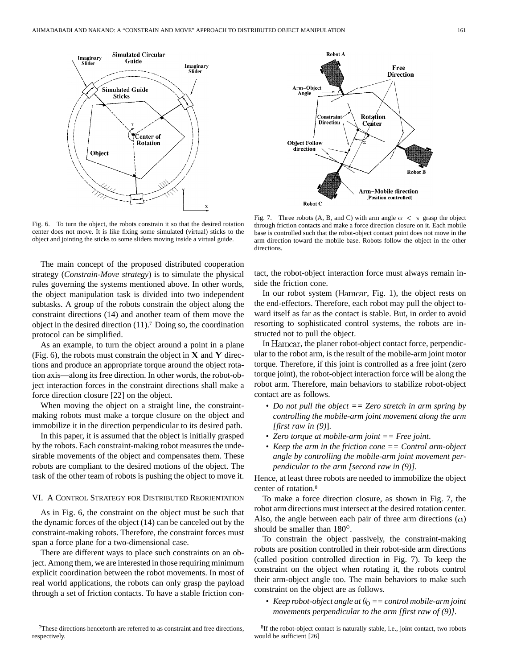

Fig. 6. To turn the object, the robots constrain it so that the desired rotation center does not move. It is like fixing some simulated (virtual) sticks to the object and jointing the sticks to some sliders moving inside a virtual guide.

The main concept of the proposed distributed cooperation strategy (*Constrain-Move strategy*) is to simulate the physical rules governing the systems mentioned above. In other words, the object manipulation task is divided into two independent subtasks. A group of the robots constrain the object along the constraint directions (14) and another team of them move the object in the desired direction (11).7 Doing so, the coordination protocol can be simplified.

As an example, to turn the object around a point in a plane (Fig. 6), the robots must constrain the object in  $X$  and  $Y$  directions and produce an appropriate torque around the object rotation axis—along its free direction. In other words, the robot-object interaction forces in the constraint directions shall make a force direction closure [22] on the object.

When moving the object on a straight line, the constraintmaking robots must make a torque closure on the object and immobilize it in the direction perpendicular to its desired path.

In this paper, it is assumed that the object is initially grasped by the robots. Each constraint-making robot measures the undesirable movements of the object and compensates them. These robots are compliant to the desired motions of the object. The task of the other team of robots is pushing the object to move it.

# VI. A CONTROL STRATEGY FOR DISTRIBUTED REORIENTATION

As in Fig. 6, the constraint on the object must be such that the dynamic forces of the object (14) can be canceled out by the constraint-making robots. Therefore, the constraint forces must span a force plane for a two-dimensional case.

There are different ways to place such constraints on an object. Among them, we are interested in those requiring minimum explicit coordination between the robot movements. In most of real world applications, the robots can only grasp the payload through a set of friction contacts. To have a stable friction con-



Fig. 7. Three robots (A, B, and C) with arm angle  $\alpha < \pi$  grasp the object through friction contacts and make a force direction closure on it. Each mobile base is controlled such that the robot-object contact point does not move in the arm direction toward the mobile base. Robots follow the object in the other directions.

tact, the robot-object interaction force must always remain inside the friction cone.

In our robot system (Hamcar, Fig. 1), the object rests on the end-effectors. Therefore, each robot may pull the object toward itself as far as the contact is stable. But, in order to avoid resorting to sophisticated control systems, the robots are instructed not to pull the object.

In Hamcar, the planer robot-object contact force, perpendicular to the robot arm, is the result of the mobile-arm joint motor torque. Therefore, if this joint is controlled as a free joint (zero torque joint), the robot-object interaction force will be along the robot arm. Therefore, main behaviors to stabilize robot-object contact are as follows.

- *Do not pull the object == Zero stretch in arm spring by controlling the mobile-arm joint movement along the arm [first raw in (9)*].
- *Zero torque at mobile-arm joint == Free joint*.
- *Keep the arm in the friction cone == Control arm-object angle by controlling the mobile-arm joint movement perpendicular to the arm [second raw in (9)]*.

Hence, at least three robots are needed to immobilize the object center of rotation.8

To make a force direction closure, as shown in Fig. 7, the robot arm directions must intersect at the desired rotation center. Also, the angle between each pair of three arm directions  $(\alpha)$ should be smaller than  $180^\circ$ .

To constrain the object passively, the constraint-making robots are position controlled in their robot-side arm directions (called position controlled direction in Fig. 7). To keep the constraint on the object when rotating it, the robots control their arm-object angle too. The main behaviors to make such constraint on the object are as follows.

- *Keep robot-object angle at*  $\theta_0 = \text{control mobile-arm joint}$ *movements perpendicular to the arm [first raw of (9)]*.
- 7These directions henceforth are referred to as constraint and free directions, respectively.

8If the robot-object contact is naturally stable, i.e., joint contact, two robots would be sufficient [26]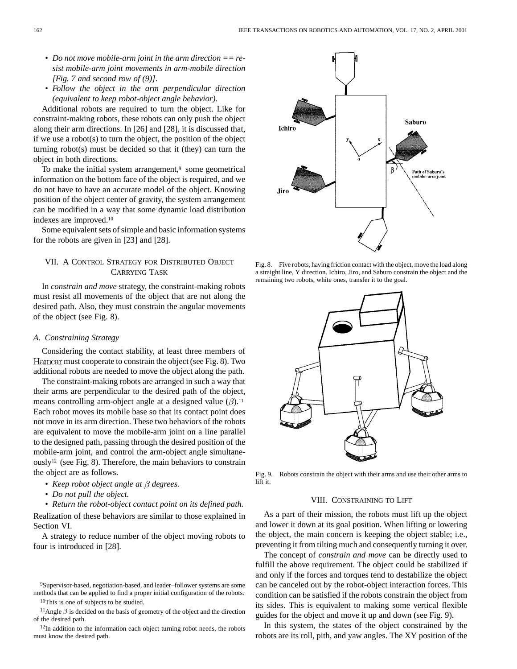- *Do not move mobile-arm joint in the arm direction == resist mobile-arm joint movements in arm-mobile direction [Fig. 7 and second row of (9)]*.
- *Follow the object in the arm perpendicular direction (equivalent to keep robot-object angle behavior).*

Additional robots are required to turn the object. Like for constraint-making robots, these robots can only push the object along their arm directions. In [26] and [28], it is discussed that, if we use a robot(s) to turn the object, the position of the object turning robot(s) must be decided so that it (they) can turn the object in both directions.

To make the initial system arrangement,<sup>9</sup> some geometrical information on the bottom face of the object is required, and we do not have to have an accurate model of the object. Knowing position of the object center of gravity, the system arrangement can be modified in a way that some dynamic load distribution indexes are improved.10

Some equivalent sets of simple and basic information systems for the robots are given in [23] and [28].

# VII. A CONTROL STRATEGY FOR DISTRIBUTED OBJECT CARRYING TASK

In *constrain and move* strategy, the constraint-making robots must resist all movements of the object that are not along the desired path. Also, they must constrain the angular movements of the object (see Fig. 8).

## *A. Constraining Strategy*

Considering the contact stability, at least three members of Hamcar must cooperate to constrain the object (see Fig. 8). Two additional robots are needed to move the object along the path.

The constraint-making robots are arranged in such a way that their arms are perpendicular to the desired path of the object, means controlling arm-object angle at a designed value  $(\beta)$ .<sup>11</sup> Each robot moves its mobile base so that its contact point does not move in its arm direction. These two behaviors of the robots are equivalent to move the mobile-arm joint on a line parallel to the designed path, passing through the desired position of the mobile-arm joint, and control the arm-object angle simultaneously12 (see Fig. 8). Therefore, the main behaviors to constrain the object are as follows.

- *Keep robot object angle at*  $\beta$  *degrees.*
- *Do not pull the object.*
- *Return the robot-object contact point on its defined path.*

Realization of these behaviors are similar to those explained in Section VI.

A strategy to reduce number of the object moving robots to four is introduced in [28].



Fig. 8. Five robots, having friction contact with the object, move the load along a straight line, Y direction. Ichiro, Jiro, and Saburo constrain the object and the remaining two robots, white ones, transfer it to the goal.



Fig. 9. Robots constrain the object with their arms and use their other arms to lift it.

# VIII. CONSTRAINING TO LIFT

As a part of their mission, the robots must lift up the object and lower it down at its goal position. When lifting or lowering the object, the main concern is keeping the object stable; i.e., preventing it from tilting much and consequently turning it over.

The concept of *constrain and move* can be directly used to fulfill the above requirement. The object could be stabilized if and only if the forces and torques tend to destabilize the object can be canceled out by the robot-object interaction forces. This condition can be satisfied if the robots constrain the object from its sides. This is equivalent to making some vertical flexible guides for the object and move it up and down (see Fig. 9).

In this system, the states of the object constrained by the robots are its roll, pith, and yaw angles. The XY position of the

<sup>9</sup>Supervisor-based, negotiation-based, and leader–follower systems are some methods that can be applied to find a proper initial configuration of the robots. 10This is one of subjects to be studied.

<sup>&</sup>lt;sup>11</sup>Angle  $\beta$  is decided on the basis of geometry of the object and the direction of the desired path.

<sup>&</sup>lt;sup>12</sup>In addition to the information each object turning robot needs, the robots must know the desired path.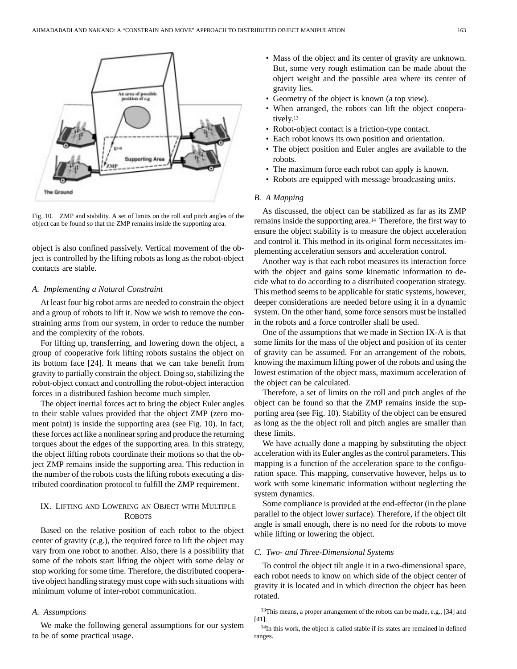

Fig. 10. ZMP and stability. A set of limits on the roll and pitch angles of the object can be found so that the ZMP remains inside the supporting area.

object is also confined passively. Vertical movement of the object is controlled by the lifting robots as long as the robot-object contacts are stable.

#### *A. Implementing a Natural Constraint*

At least four big robot arms are needed to constrain the object and a group of robots to lift it. Now we wish to remove the constraining arms from our system, in order to reduce the number and the complexity of the robots.

For lifting up, transferring, and lowering down the object, a group of cooperative fork lifting robots sustains the object on its bottom face [24]. It means that we can take benefit from gravity to partially constrain the object. Doing so, stabilizing the robot-object contact and controlling the robot-object interaction forces in a distributed fashion become much simpler.

The object inertial forces act to bring the object Euler angles to their stable values provided that the object ZMP (zero moment point) is inside the supporting area (see Fig. 10). In fact, these forces act like a nonlinear spring and produce the returning torques about the edges of the supporting area. In this strategy, the object lifting robots coordinate their motions so that the object ZMP remains inside the supporting area. This reduction in the number of the robots costs the lifting robots executing a distributed coordination protocol to fulfill the ZMP requirement.

# IX. LIFTING AND LOWERING AN OBJECT WITH MULTIPLE **ROBOTS**

Based on the relative position of each robot to the object center of gravity (c.g.), the required force to lift the object may vary from one robot to another. Also, there is a possibility that some of the robots start lifting the object with some delay or stop working for some time. Therefore, the distributed cooperative object handling strategy must cope with such situations with minimum volume of inter-robot communication.

## *A. Assumptions*

We make the following general assumptions for our system to be of some practical usage.

- Mass of the object and its center of gravity are unknown. But, some very rough estimation can be made about the object weight and the possible area where its center of gravity lies.
- Geometry of the object is known (a top view).
- When arranged, the robots can lift the object cooperatively.<sup>13</sup>
- Robot-object contact is a friction-type contact.
- Each robot knows its own position and orientation.
- The object position and Euler angles are available to the robots.
- The maximum force each robot can apply is known.
- Robots are equipped with message broadcasting units.

#### *B. A Mapping*

As discussed, the object can be stabilized as far as its ZMP remains inside the supporting area.14 Therefore, the first way to ensure the object stability is to measure the object acceleration and control it. This method in its original form necessitates implementing acceleration sensors and acceleration control.

Another way is that each robot measures its interaction force with the object and gains some kinematic information to decide what to do according to a distributed cooperation strategy. This method seems to be applicable for static systems, however, deeper considerations are needed before using it in a dynamic system. On the other hand, some force sensors must be installed in the robots and a force controller shall be used.

One of the assumptions that we made in Section IX-A is that some limits for the mass of the object and position of its center of gravity can be assumed. For an arrangement of the robots, knowing the maximum lifting power of the robots and using the lowest estimation of the object mass, maximum acceleration of the object can be calculated.

Therefore, a set of limits on the roll and pitch angles of the object can be found so that the ZMP remains inside the supporting area (see Fig. 10). Stability of the object can be ensured as long as the the object roll and pitch angles are smaller than these limits.

We have actually done a mapping by substituting the object acceleration with its Euler angles as the control parameters. This mapping is a function of the acceleration space to the configuration space. This mapping, conservative however, helps us to work with some kinematic information without neglecting the system dynamics.

Some compliance is provided at the end-effector (in the plane parallel to the object lower surface). Therefore, if the object tilt angle is small enough, there is no need for the robots to move while lifting or lowering the object.

#### *C. Two- and Three-Dimensional Systems*

To control the object tilt angle it in a two-dimensional space, each robot needs to know on which side of the object center of gravity it is located and in which direction the object has been rotated.

<sup>13</sup>This means, a proper arrangement of the robots can be made, e.g., [34] and [41].

<sup>14</sup>In this work, the object is called stable if its states are remained in defined ranges.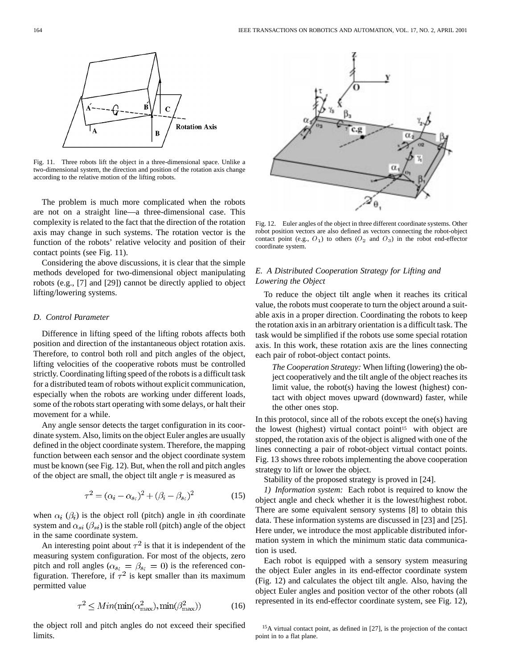

Fig. 11. Three robots lift the object in a three-dimensional space. Unlike a two-dimensional system, the direction and position of the rotation axis change according to the relative motion of the lifting robots.

The problem is much more complicated when the robots are not on a straight line—a three-dimensional case. This complexity is related to the fact that the direction of the rotation axis may change in such systems. The rotation vector is the function of the robots' relative velocity and position of their contact points (see Fig. 11).

Considering the above discussions, it is clear that the simple methods developed for two-dimensional object manipulating robots (e.g., [7] and [29]) cannot be directly applied to object lifting/lowering systems.

## *D. Control Parameter*

Difference in lifting speed of the lifting robots affects both position and direction of the instantaneous object rotation axis. Therefore, to control both roll and pitch angles of the object, lifting velocities of the cooperative robots must be controlled strictly. Coordinating lifting speed of the robots is a difficult task for a distributed team of robots without explicit communication, especially when the robots are working under different loads, some of the robots start operating with some delays, or halt their movement for a while.

Any angle sensor detects the target configuration in its coordinate system. Also, limits on the object Euler angles are usually defined in the object coordinate system. Therefore, the mapping function between each sensor and the object coordinate system must be known (see Fig. 12). But, when the roll and pitch angles of the object are small, the object tilt angle  $\tau$  is measured as

$$
\tau^{2} = (\alpha_{i} - \alpha_{s_{i}})^{2} + (\beta_{i} - \beta_{s_{i}})^{2}
$$
 (15)

when  $\alpha_i$  ( $\beta_i$ ) is the object roll (pitch) angle in *i*th coordinate system and  $\alpha_{si}$  ( $\beta_{si}$ ) is the stable roll (pitch) angle of the object in the same coordinate system.

An interesting point about  $\tau^2$  is that it is independent of the measuring system configuration. For most of the objects, zero pitch and roll angles ( $\alpha_{s_i} = \beta_{s_i} = 0$ ) is the referenced configuration. Therefore, if  $\tau^2$  is kept smaller than its maximum permitted value

$$
\tau^2 \le \text{Min}(\min(\alpha_{\text{max}}^2), \min(\beta_{\text{max}}^2)) \tag{16}
$$

the object roll and pitch angles do not exceed their specified limits.



Fig. 12. Euler angles of the object in three different coordinate systems. Other robot position vectors are also defined as vectors connecting the robot-object contact point (e.g.,  $O_1$ ) to others ( $O_2$  and  $O_3$ ) in the robot end-effector coordinate system.

# *E. A Distributed Cooperation Strategy for Lifting and Lowering the Object*

To reduce the object tilt angle when it reaches its critical value, the robots must cooperate to turn the object around a suitable axis in a proper direction. Coordinating the robots to keep the rotation axis in an arbitrary orientation is a difficult task. The task would be simplified if the robots use some special rotation axis. In this work, these rotation axis are the lines connecting each pair of robot-object contact points.

*The Cooperation Strategy:* When lifting (lowering) the object cooperatively and the tilt angle of the object reaches its limit value, the robot(s) having the lowest (highest) contact with object moves upward (downward) faster, while the other ones stop.

In this protocol, since all of the robots except the one(s) having the lowest (highest) virtual contact point<sup>15</sup> with object are stopped, the rotation axis of the object is aligned with one of the lines connecting a pair of robot-object virtual contact points. Fig. 13 shows three robots implementing the above cooperation strategy to lift or lower the object.

Stability of the proposed strategy is proved in [24].

*1) Information system:* Each robot is required to know the object angle and check whether it is the lowest/highest robot. There are some equivalent sensory systems [8] to obtain this data. These information systems are discussed in [23] and [25]. Here under, we introduce the most applicable distributed information system in which the minimum static data communication is used.

Each robot is equipped with a sensory system measuring the object Euler angles in its end-effector coordinate system (Fig. 12) and calculates the object tilt angle. Also, having the object Euler angles and position vector of the other robots (all represented in its end-effector coordinate system, see Fig. 12),

<sup>15</sup>A virtual contact point, as defined in [27], is the projection of the contact point in to a flat plane.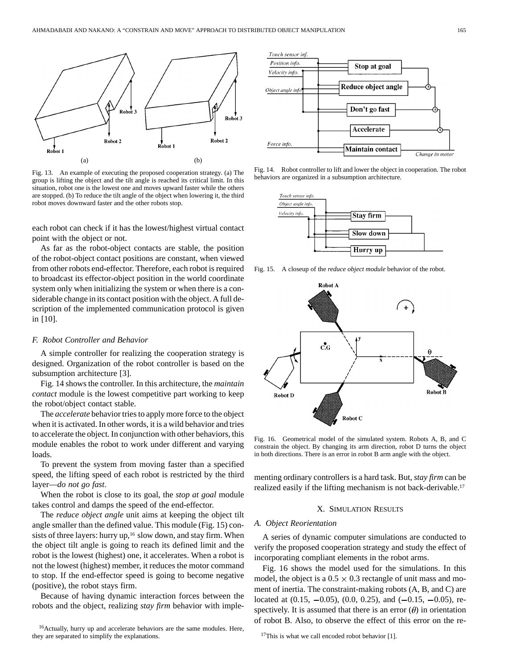

Fig. 13. An example of executing the proposed cooperation strategy. (a) The group is lifting the object and the tilt angle is reached its critical limit. In this situation, robot one is the lowest one and moves upward faster while the others are stopped. (b) To reduce the tilt angle of the object when lowering it, the third robot moves downward faster and the other robots stop.

each robot can check if it has the lowest/highest virtual contact point with the object or not.

As far as the robot-object contacts are stable, the position of the robot-object contact positions are constant, when viewed from other robots end-effector. Therefore, each robot is required to broadcast its effector-object position in the world coordinate system only when initializing the system or when there is a considerable change in its contact position with the object. A full description of the implemented communication protocol is given in [10].

# *F. Robot Controller and Behavior*

A simple controller for realizing the cooperation strategy is designed. Organization of the robot controller is based on the subsumption architecture [3].

Fig. 14 shows the controller. In this architecture, the *maintain contact* module is the lowest competitive part working to keep the robot/object contact stable.

The *accelerate* behavior tries to apply more force to the object when it is activated. In other words, it is a wild behavior and tries to accelerate the object. In conjunction with other behaviors, this module enables the robot to work under different and varying loads.

To prevent the system from moving faster than a specified speed, the lifting speed of each robot is restricted by the third layer—*do not go fast*.

When the robot is close to its goal, the *stop at goal* module takes control and damps the speed of the end-effector.

The *reduce object angle* unit aims at keeping the object tilt angle smaller than the defined value. This module (Fig. 15) consists of three layers: hurry up,<sup>16</sup> slow down, and stay firm. When the object tilt angle is going to reach its defined limit and the robot is the lowest (highest) one, it accelerates. When a robot is not the lowest (highest) member, it reduces the motor command to stop. If the end-effector speed is going to become negative (positive), the robot stays firm.

Because of having dynamic interaction forces between the robots and the object, realizing *stay firm* behavior with imple-

16Actually, hurry up and accelerate behaviors are the same modules. Here, they are separated to simplify the explanations.



Fig. 14. Robot controller to lift and lower the object in cooperation. The robot behaviors are organized in a subsumption architecture.



Fig. 15. A closeup of the *reduce object module* behavior of the robot.



Fig. 16. Geometrical model of the simulated system. Robots A, B, and C constrain the object. By changing its arm direction, robot D turns the object in both directions. There is an error in robot B arm angle with the object.

menting ordinary controllers is a hard task. But, *stay firm* can be realized easily if the lifting mechanism is not back-derivable.17

#### X. SIMULATION RESULTS

# *A. Object Reorientation*

A series of dynamic computer simulations are conducted to verify the proposed cooperation strategy and study the effect of incorporating compliant elements in the robot arms.

Fig. 16 shows the model used for the simulations. In this model, the object is a  $0.5 \times 0.3$  rectangle of unit mass and moment of inertia. The constraint-making robots (A, B, and C) are located at  $(0.15, -0.05)$ ,  $(0.0, 0.25)$ , and  $(-0.15, -0.05)$ , respectively. It is assumed that there is an error  $(\theta)$  in orientation of robot B. Also, to observe the effect of this error on the re-

<sup>&</sup>lt;sup>17</sup>This is what we call encoded robot behavior [1].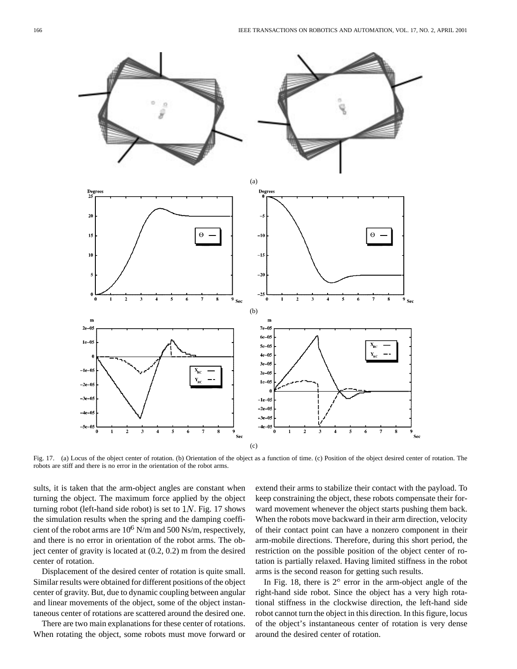

Fig. 17. (a) Locus of the object center of rotation. (b) Orientation of the object as a function of time. (c) Position of the object desired center of rotation. The robots are stiff and there is no error in the orientation of the robot arms.

sults, it is taken that the arm-object angles are constant when turning the object. The maximum force applied by the object turning robot (left-hand side robot) is set to  $1N$ . Fig. 17 shows the simulation results when the spring and the damping coefficient of the robot arms are  $10^6$  N/m and 500 Ns/m, respectively, and there is no error in orientation of the robot arms. The object center of gravity is located at (0.2, 0.2) m from the desired center of rotation.

Displacement of the desired center of rotation is quite small. Similar results were obtained for different positions of the object center of gravity. But, due to dynamic coupling between angular and linear movements of the object, some of the object instantaneous center of rotations are scattered around the desired one.

There are two main explanations for these center of rotations. When rotating the object, some robots must move forward or extend their arms to stabilize their contact with the payload. To keep constraining the object, these robots compensate their forward movement whenever the object starts pushing them back. When the robots move backward in their arm direction, velocity of their contact point can have a nonzero component in their arm-mobile directions. Therefore, during this short period, the restriction on the possible position of the object center of rotation is partially relaxed. Having limited stiffness in the robot arms is the second reason for getting such results.

In Fig. 18, there is  $2^{\circ}$  error in the arm-object angle of the right-hand side robot. Since the object has a very high rotational stiffness in the clockwise direction, the left-hand side robot cannot turn the object in this direction. In this figure, locus of the object's instantaneous center of rotation is very dense around the desired center of rotation.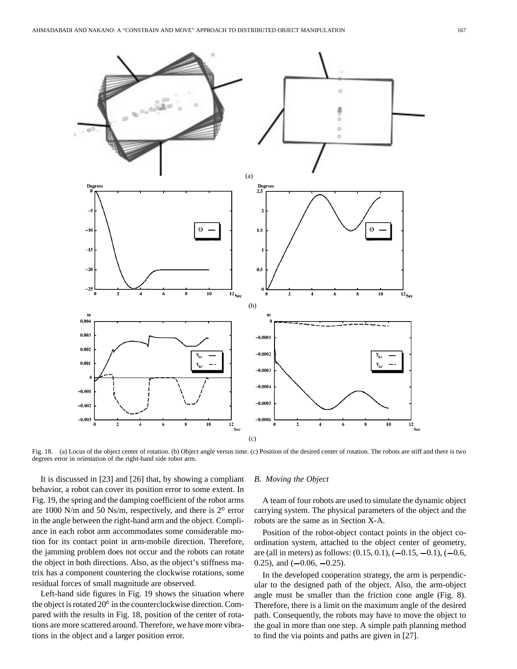

Fig. 18. (a) Locus of the object center of rotation. (b) Object angle versus time. (c) Position of the desired center of rotation. The robots are stiff and there is two degrees error in orientation of the right-hand side robot arm.

It is discussed in [23] and [26] that, by showing a compliant behavior, a robot can cover its position error to some extent. In Fig. 19, the spring and the damping coefficient of the robot arms are 1000 N/m and 50 Ns/m, respectively, and there is  $2^{\circ}$  error in the angle between the right-hand arm and the object. Compliance in each robot arm accommodates some considerable motion for its contact point in arm-mobile direction. Therefore, the jamming problem does not occur and the robots can rotate the object in both directions. Also, as the object's stiffness matrix has a component countering the clockwise rotations, some residual forces of small magnitude are observed.

Left-hand side figures in Fig. 19 shows the situation where the object is rotated 20° in the counterclockwise direction. Compared with the results in Fig. 18, position of the center of rotations are more scattered around. Therefore, we have more vibrations in the object and a larger position error.

#### *B. Moving the Object*

A team of four robots are used to simulate the dynamic object carrying system. The physical parameters of the object and the robots are the same as in Section X-A.

Position of the robot-object contact points in the object coordination system, attached to the object center of geometry, are (all in meters) as follows:  $(0.15, 0.1)$ ,  $(-0.15, -0.1)$ ,  $(-0.6,$ 0.25), and  $(-0.06, -0.25)$ .

In the developed cooperation strategy, the arm is perpendicular to the designed path of the object. Also, the arm-object angle must be smaller than the friction cone angle (Fig. 8). Therefore, there is a limit on the maximum angle of the desired path. Consequently, the robots may have to move the object to the goal in more than one step. A simple path planning method to find the via points and paths are given in [27].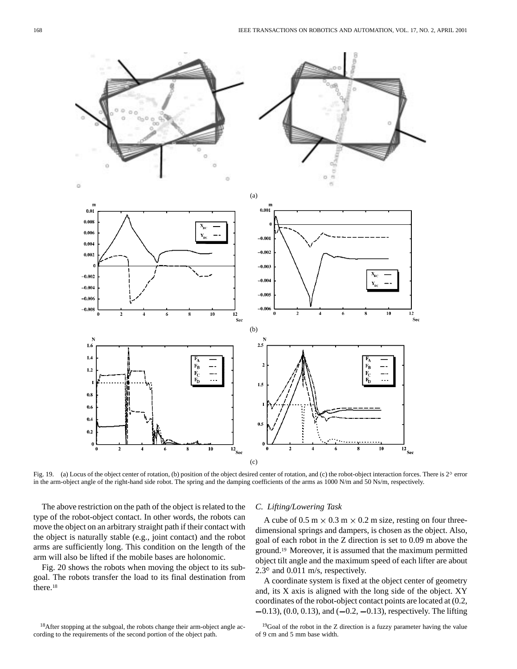

Fig. 19. (a) Locus of the object center of rotation, (b) position of the object desired center of rotation, and (c) the robot-object interaction forces. There is 2° error in the arm-object angle of the right-hand side robot. The spring and the damping coefficients of the arms as 1000 N/m and 50 Ns/m, respectively.

The above restriction on the path of the object is related to the type of the robot-object contact. In other words, the robots can move the object on an arbitrary straight path if their contact with the object is naturally stable (e.g., joint contact) and the robot arms are sufficiently long. This condition on the length of the arm will also be lifted if the mobile bases are holonomic.

Fig. 20 shows the robots when moving the object to its subgoal. The robots transfer the load to its final destination from there.18

## *C. Lifting/Lowering Task*

A cube of  $0.5 \text{ m} \times 0.3 \text{ m} \times 0.2 \text{ m}$  size, resting on four threedimensional springs and dampers, is chosen as the object. Also, goal of each robot in the Z direction is set to 0.09 m above the ground.19 Moreover, it is assumed that the maximum permitted object tilt angle and the maximum speed of each lifter are about  $2.3^{\circ}$  and  $0.011$  m/s, respectively.

A coordinate system is fixed at the object center of geometry and, its X axis is aligned with the long side of the object. XY coordinates of the robot-object contact points are located at (0.2,  $-0.13$ ), (0.0, 0.13), and ( $-0.2$ ,  $-0.13$ ), respectively. The lifting

<sup>18</sup>After stopping at the subgoal, the robots change their arm-object angle according to the requirements of the second portion of the object path.

 $19$ Goal of the robot in the Z direction is a fuzzy parameter having the value of 9 cm and 5 mm base width.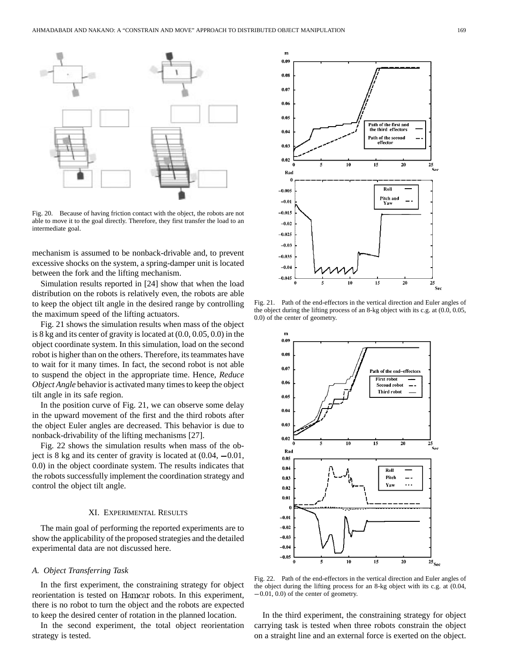

Fig. 20. Because of having friction contact with the object, the robots are not able to move it to the goal directly. Therefore, they first transfer the load to an intermediate goal.

mechanism is assumed to be nonback-drivable and, to prevent excessive shocks on the system, a spring-damper unit is located between the fork and the lifting mechanism.

Simulation results reported in [24] show that when the load distribution on the robots is relatively even, the robots are able to keep the object tilt angle in the desired range by controlling the maximum speed of the lifting actuators.

Fig. 21 shows the simulation results when mass of the object is 8 kg and its center of gravity is located at (0.0, 0.05, 0.0) in the object coordinate system. In this simulation, load on the second robot is higher than on the others. Therefore, its teammates have to wait for it many times. In fact, the second robot is not able to suspend the object in the appropriate time. Hence, *Reduce Object Angle* behavior is activated many times to keep the object tilt angle in its safe region.

In the position curve of Fig. 21, we can observe some delay in the upward movement of the first and the third robots after the object Euler angles are decreased. This behavior is due to nonback-drivability of the lifting mechanisms [27].

Fig. 22 shows the simulation results when mass of the object is 8 kg and its center of gravity is located at  $(0.04, -0.01,$ 0.0) in the object coordinate system. The results indicates that the robots successfully implement the coordination strategy and control the object tilt angle.

#### XI. EXPERIMENTAL RESULTS

The main goal of performing the reported experiments are to show the applicability of the proposed strategies and the detailed experimental data are not discussed here.

## *A. Object Transferring Task*

In the first experiment, the constraining strategy for object reorientation is tested on Hamcar robots. In this experiment, there is no robot to turn the object and the robots are expected to keep the desired center of rotation in the planned location.

In the second experiment, the total object reorientation strategy is tested.



Fig. 21. Path of the end-effectors in the vertical direction and Euler angles of the object during the lifting process of an 8-kg object with its c.g. at (0.0, 0.05, 0.0) of the center of geometry.



Fig. 22. Path of the end-effectors in the vertical direction and Euler angles of the object during the lifting process for an 8-kg object with its c.g. at (0.04,  $-0.01$ ,  $0.0$ ) of the center of geometry.

In the third experiment, the constraining strategy for object carrying task is tested when three robots constrain the object on a straight line and an external force is exerted on the object.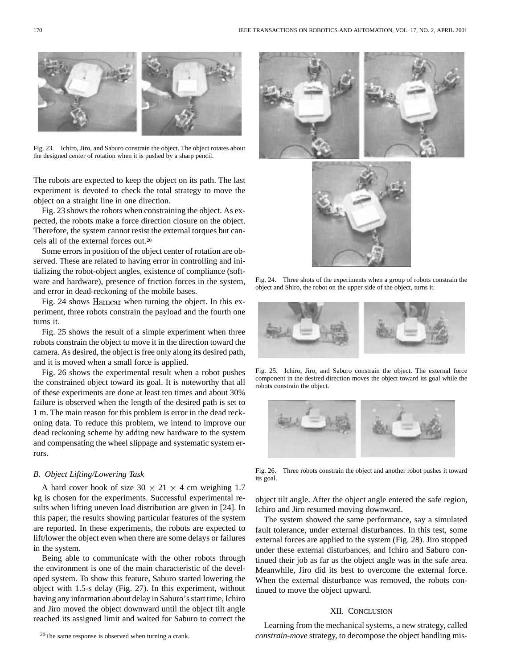

Fig. 23. Ichiro, Jiro, and Saburo constrain the object. The object rotates about the designed center of rotation when it is pushed by a sharp pencil.

The robots are expected to keep the object on its path. The last experiment is devoted to check the total strategy to move the object on a straight line in one direction.

Fig. 23 shows the robots when constraining the object. As expected, the robots make a force direction closure on the object. Therefore, the system cannot resist the external torques but cancels all of the external forces out.20

Some errors in position of the object center of rotation are observed. These are related to having error in controlling and initializing the robot-object angles, existence of compliance (software and hardware), presence of friction forces in the system, and error in dead-reckoning of the mobile bases.

Fig. 24 shows Hamcar when turning the object. In this experiment, three robots constrain the payload and the fourth one turns it.

Fig. 25 shows the result of a simple experiment when three robots constrain the object to move it in the direction toward the camera. As desired, the object is free only along its desired path, and it is moved when a small force is applied.

Fig. 26 shows the experimental result when a robot pushes the constrained object toward its goal. It is noteworthy that all of these experiments are done at least ten times and about 30% failure is observed when the length of the desired path is set to 1 m. The main reason for this problem is error in the dead reckoning data. To reduce this problem, we intend to improve our dead reckoning scheme by adding new hardware to the system and compensating the wheel slippage and systematic system errors.

# *B. Object Lifting/Lowering Task*

A hard cover book of size  $30 \times 21 \times 4$  cm weighing 1.7 kg is chosen for the experiments. Successful experimental results when lifting uneven load distribution are given in [24]. In this paper, the results showing particular features of the system are reported. In these experiments, the robots are expected to lift/lower the object even when there are some delays or failures in the system.

Being able to communicate with the other robots through the environment is one of the main characteristic of the developed system. To show this feature, Saburo started lowering the object with 1.5-s delay (Fig. 27). In this experiment, without having any information about delay in Saburo's start time, Ichiro and Jiro moved the object downward until the object tilt angle reached its assigned limit and waited for Saburo to correct the





Fig. 24. Three shots of the experiments when a group of robots constrain the object and Shiro, the robot on the upper side of the object, turns it.



Fig. 25. Ichiro, Jiro, and Saburo constrain the object. The external force component in the desired direction moves the object toward its goal while the robots constrain the object.



Fig. 26. Three robots constrain the object and another robot pushes it toward its goal.

object tilt angle. After the object angle entered the safe region, Ichiro and Jiro resumed moving downward.

The system showed the same performance, say a simulated fault tolerance, under external disturbances. In this test, some external forces are applied to the system (Fig. 28). Jiro stopped under these external disturbances, and Ichiro and Saburo continued their job as far as the object angle was in the safe area. Meanwhile, Jiro did its best to overcome the external force. When the external disturbance was removed, the robots continued to move the object upward.

# XII. CONCLUSION

Learning from the mechanical systems, a new strategy, called *constrain-move* strategy, to decompose the object handling mis-

20The same response is observed when turning a crank.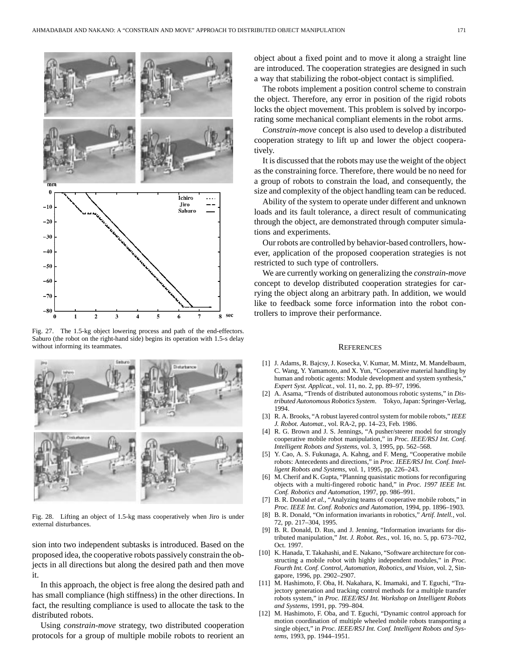

Fig. 27. The 1.5-kg object lowering process and path of the end-effectors. Saburo (the robot on the right-hand side) begins its operation with 1.5-s delay without informing its teammates.



Fig. 28. Lifting an object of 1.5-kg mass cooperatively when Jiro is under external disturbances.

sion into two independent subtasks is introduced. Based on the proposed idea, the cooperative robots passively constrain the objects in all directions but along the desired path and then move it.

In this approach, the object is free along the desired path and has small compliance (high stiffness) in the other directions. In fact, the resulting compliance is used to allocate the task to the distributed robots.

Using *constrain-move* strategy, two distributed cooperation protocols for a group of multiple mobile robots to reorient an

object about a fixed point and to move it along a straight line are introduced. The cooperation strategies are designed in such a way that stabilizing the robot-object contact is simplified.

The robots implement a position control scheme to constrain the object. Therefore, any error in position of the rigid robots locks the object movement. This problem is solved by incorporating some mechanical compliant elements in the robot arms.

*Constrain-move* concept is also used to develop a distributed cooperation strategy to lift up and lower the object cooperatively.

It is discussed that the robots may use the weight of the object as the constraining force. Therefore, there would be no need for a group of robots to constrain the load, and consequently, the size and complexity of the object handling team can be reduced.

Ability of the system to operate under different and unknown loads and its fault tolerance, a direct result of communicating through the object, are demonstrated through computer simulations and experiments.

Our robots are controlled by behavior-based controllers, however, application of the proposed cooperation strategies is not restricted to such type of controllers.

We are currently working on generalizing the *constrain-move* concept to develop distributed cooperation strategies for carrying the object along an arbitrary path. In addition, we would like to feedback some force information into the robot controllers to improve their performance.

#### **REFERENCES**

- [1] J. Adams, R. Bajcsy, J. Kosecka, V. Kumar, M. Mintz, M. Mandelbaum, C. Wang, Y. Yamamoto, and X. Yun, "Cooperative material handling by human and robotic agents: Module development and system synthesis,' *Expert Syst. Applicat.*, vol. 11, no. 2, pp. 89–97, 1996.
- [2] A. Asama, "Trends of distributed autonomous robotic systems," in *Distributed Autonomous Robotics System*. Tokyo, Japan: Springer-Verlag, 1994.
- [3] R. A. Brooks, "A robust layered control system for mobile robots," *IEEE J. Robot. Automat.*, vol. RA-2, pp. 14–23, Feb. 1986.
- [4] R. G. Brown and J. S. Jennings, "A pusher/steerer model for strongly cooperative mobile robot manipulation," in *Proc. IEEE/RSJ Int. Conf. Intelligent Robots and Systems*, vol. 3, 1995, pp. 562–568.
- [5] Y. Cao, A. S. Fukunaga, A. Kahng, and F. Meng, "Cooperative mobile robots: Antecedents and directions," in *Proc. IEEE/RSJ Int. Conf. Intelligent Robots and Systems*, vol. 1, 1995, pp. 226–243.
- [6] M. Cherif and K. Gupta, "Planning quasistatic motions for reconfiguring objects with a multi-fingered robotic hand," in *Proc. 1997 IEEE Int. Conf. Robotics and Automation*, 1997, pp. 986–991.
- [7] B. R. Donald *et al.*, "Analyzing teams of cooperative mobile robots," in *Proc. IEEE Int. Conf. Robotics and Automation*, 1994, pp. 1896–1903.
- [8] B. R. Donald, "On information invariants in robotics," *Artif. Intell.*, vol. 72, pp. 217–304, 1995.
- [9] B. R. Donald, D. Rus, and J. Jenning, "Information invariants for distributed manipulation," *Int. J. Robot. Res.*, vol. 16, no. 5, pp. 673–702, Oct. 1997.
- [10] K. Hanada, T. Takahashi, and E. Nakano, "Software architecture for constructing a mobile robot with highly independent modules," in *Proc. Fourth Int. Conf. Control, Automation, Robotics, and Vision*, vol. 2, Singapore, 1996, pp. 2902–2907.
- [11] M. Hashimoto, F. Oba, H. Nakahara, K. Imamaki, and T. Eguchi, "Trajectory generation and tracking control methods for a multiple transfer robots system," in *Proc. IEEE/RSJ Int. Workshop on Intelligent Robots and Systems*, 1991, pp. 799–804.
- [12] M. Hashimoto, F. Oba, and T. Eguchi, "Dynamic control approach for motion coordination of multiple wheeled mobile robots transporting a single object," in *Proc. IEEE/RSJ Int. Conf. Intelligent Robots and Systems*, 1993, pp. 1944–1951.